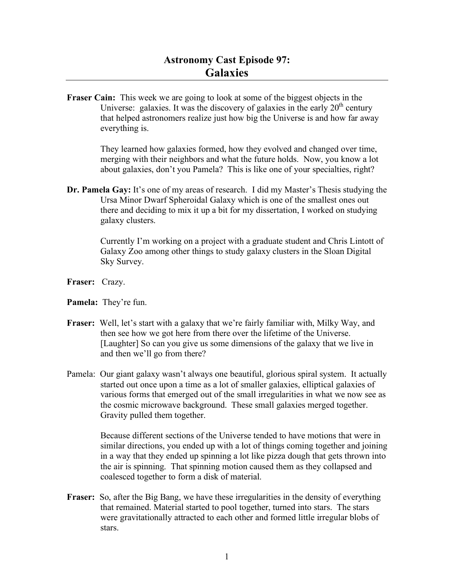**Fraser Cain:** This week we are going to look at some of the biggest objects in the Universe: galaxies. It was the discovery of galaxies in the early  $20<sup>th</sup>$  century that helped astronomers realize just how big the Universe is and how far away everything is.

> They learned how galaxies formed, how they evolved and changed over time, merging with their neighbors and what the future holds. Now, you know a lot about galaxies, don't you Pamela? This is like one of your specialties, right?

**Dr. Pamela Gay:** It's one of my areas of research. I did my Master's Thesis studying the Ursa Minor Dwarf Spheroidal Galaxy which is one of the smallest ones out there and deciding to mix it up a bit for my dissertation, I worked on studying galaxy clusters.

> Currently I'm working on a project with a graduate student and Chris Lintott of Galaxy Zoo among other things to study galaxy clusters in the Sloan Digital Sky Survey.

- **Fraser:** Crazy.
- **Pamela:** They're fun.
- **Fraser:** Well, let's start with a galaxy that we're fairly familiar with, Milky Way, and then see how we got here from there over the lifetime of the Universe. [Laughter] So can you give us some dimensions of the galaxy that we live in and then we'll go from there?
- Pamela: Our giant galaxy wasn't always one beautiful, glorious spiral system. It actually started out once upon a time as a lot of smaller galaxies, elliptical galaxies of various forms that emerged out of the small irregularities in what we now see as the cosmic microwave background. These small galaxies merged together. Gravity pulled them together.

Because different sections of the Universe tended to have motions that were in similar directions, you ended up with a lot of things coming together and joining in a way that they ended up spinning a lot like pizza dough that gets thrown into the air is spinning. That spinning motion caused them as they collapsed and coalesced together to form a disk of material.

**Fraser:** So, after the Big Bang, we have these irregularities in the density of everything that remained. Material started to pool together, turned into stars. The stars were gravitationally attracted to each other and formed little irregular blobs of stars.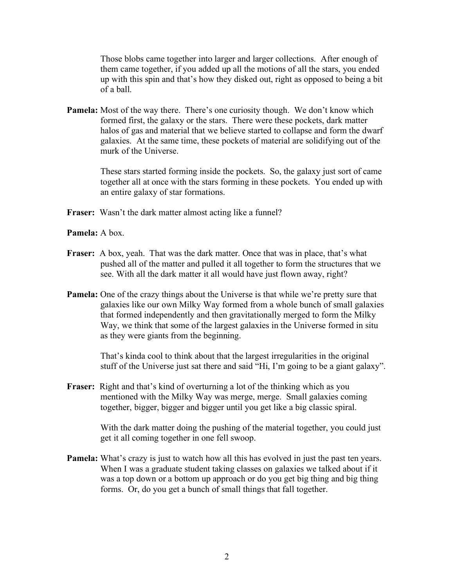Those blobs came together into larger and larger collections. After enough of them came together, if you added up all the motions of all the stars, you ended up with this spin and that's how they disked out, right as opposed to being a bit of a ball.

**Pamela:** Most of the way there. There's one curiosity though. We don't know which formed first, the galaxy or the stars. There were these pockets, dark matter halos of gas and material that we believe started to collapse and form the dwarf galaxies. At the same time, these pockets of material are solidifying out of the murk of the Universe.

> These stars started forming inside the pockets. So, the galaxy just sort of came together all at once with the stars forming in these pockets. You ended up with an entire galaxy of star formations.

**Fraser:** Wasn't the dark matter almost acting like a funnel?

**Pamela:** A box.

- **Fraser:** A box, yeah. That was the dark matter. Once that was in place, that's what pushed all of the matter and pulled it all together to form the structures that we see. With all the dark matter it all would have just flown away, right?
- **Pamela:** One of the crazy things about the Universe is that while we're pretty sure that galaxies like our own Milky Way formed from a whole bunch of small galaxies that formed independently and then gravitationally merged to form the Milky Way, we think that some of the largest galaxies in the Universe formed in situ as they were giants from the beginning.

That's kinda cool to think about that the largest irregularities in the original stuff of the Universe just sat there and said "Hi, I'm going to be a giant galaxy".

**Fraser:** Right and that's kind of overturning a lot of the thinking which as you mentioned with the Milky Way was merge, merge. Small galaxies coming together, bigger, bigger and bigger until you get like a big classic spiral.

> With the dark matter doing the pushing of the material together, you could just get it all coming together in one fell swoop.

**Pamela:** What's crazy is just to watch how all this has evolved in just the past ten years. When I was a graduate student taking classes on galaxies we talked about if it was a top down or a bottom up approach or do you get big thing and big thing forms. Or, do you get a bunch of small things that fall together.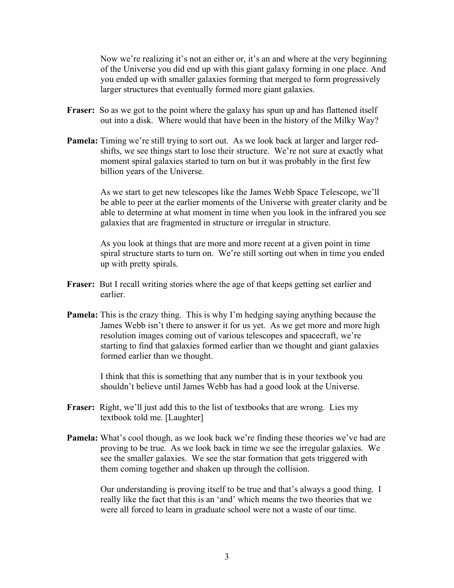Now we're realizing it's not an either or, it's an and where at the very beginning of the Universe you did end up with this giant galaxy forming in one place. And you ended up with smaller galaxies forming that merged to form progressively larger structures that eventually formed more giant galaxies.

- **Fraser:** So as we got to the point where the galaxy has spun up and has flattened itself out into a disk. Where would that have been in the history of the Milky Way?
- **Pamela:** Timing we're still trying to sort out. As we look back at larger and larger redshifts, we see things start to lose their structure. We're not sure at exactly what moment spiral galaxies started to turn on but it was probably in the first few billion years of the Universe.

As we start to get new telescopes like the James Webb Space Telescope, we'll be able to peer at the earlier moments of the Universe with greater clarity and be able to determine at what moment in time when you look in the infrared you see galaxies that are fragmented in structure or irregular in structure.

As you look at things that are more and more recent at a given point in time spiral structure starts to turn on. We're still sorting out when in time you ended up with pretty spirals.

- **Fraser:** But I recall writing stories where the age of that keeps getting set earlier and earlier.
- **Pamela:** This is the crazy thing. This is why I'm hedging saying anything because the James Webb isn't there to answer it for us yet. As we get more and more high resolution images coming out of various telescopes and spacecraft, we're starting to find that galaxies formed earlier than we thought and giant galaxies formed earlier than we thought.

I think that this is something that any number that is in your textbook you shouldn't believe until James Webb has had a good look at the Universe.

- **Fraser:** Right, we'll just add this to the list of textbooks that are wrong. Lies my textbook told me. [Laughter]
- **Pamela:** What's cool though, as we look back we're finding these theories we've had are proving to be true. As we look back in time we see the irregular galaxies. We see the smaller galaxies. We see the star formation that gets triggered with them coming together and shaken up through the collision.

Our understanding is proving itself to be true and that's always a good thing. I really like the fact that this is an 'and' which means the two theories that we were all forced to learn in graduate school were not a waste of our time.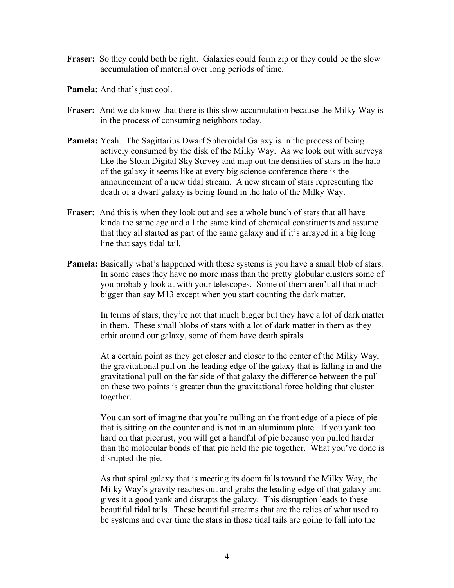- **Fraser:** So they could both be right. Galaxies could form zip or they could be the slow accumulation of material over long periods of time.
- **Pamela:** And that's just cool.
- **Fraser:** And we do know that there is this slow accumulation because the Milky Way is in the process of consuming neighbors today.
- **Pamela:** Yeah. The Sagittarius Dwarf Spheroidal Galaxy is in the process of being actively consumed by the disk of the Milky Way. As we look out with surveys like the Sloan Digital Sky Survey and map out the densities of stars in the halo of the galaxy it seems like at every big science conference there is the announcement of a new tidal stream. A new stream of stars representing the death of a dwarf galaxy is being found in the halo of the Milky Way.
- **Fraser:** And this is when they look out and see a whole bunch of stars that all have kinda the same age and all the same kind of chemical constituents and assume that they all started as part of the same galaxy and if it's arrayed in a big long line that says tidal tail.
- **Pamela:** Basically what's happened with these systems is you have a small blob of stars. In some cases they have no more mass than the pretty globular clusters some of you probably look at with your telescopes. Some of them aren't all that much bigger than say M13 except when you start counting the dark matter.

In terms of stars, they're not that much bigger but they have a lot of dark matter in them. These small blobs of stars with a lot of dark matter in them as they orbit around our galaxy, some of them have death spirals.

At a certain point as they get closer and closer to the center of the Milky Way, the gravitational pull on the leading edge of the galaxy that is falling in and the gravitational pull on the far side of that galaxy the difference between the pull on these two points is greater than the gravitational force holding that cluster together.

You can sort of imagine that you're pulling on the front edge of a piece of pie that is sitting on the counter and is not in an aluminum plate. If you yank too hard on that piecrust, you will get a handful of pie because you pulled harder than the molecular bonds of that pie held the pie together. What you've done is disrupted the pie.

As that spiral galaxy that is meeting its doom falls toward the Milky Way, the Milky Way's gravity reaches out and grabs the leading edge of that galaxy and gives it a good yank and disrupts the galaxy. This disruption leads to these beautiful tidal tails. These beautiful streams that are the relics of what used to be systems and over time the stars in those tidal tails are going to fall into the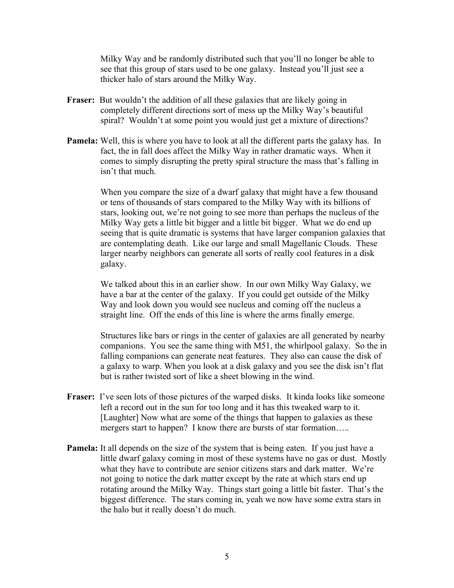Milky Way and be randomly distributed such that you'll no longer be able to see that this group of stars used to be one galaxy. Instead you'll just see a thicker halo of stars around the Milky Way.

- **Fraser:** But wouldn't the addition of all these galaxies that are likely going in completely different directions sort of mess up the Milky Way's beautiful spiral? Wouldn't at some point you would just get a mixture of directions?
- **Pamela:** Well, this is where you have to look at all the different parts the galaxy has. In fact, the in fall does affect the Milky Way in rather dramatic ways. When it comes to simply disrupting the pretty spiral structure the mass that's falling in isn't that much.

When you compare the size of a dwarf galaxy that might have a few thousand or tens of thousands of stars compared to the Milky Way with its billions of stars, looking out, we're not going to see more than perhaps the nucleus of the Milky Way gets a little bit bigger and a little bit bigger. What we do end up seeing that is quite dramatic is systems that have larger companion galaxies that are contemplating death. Like our large and small Magellanic Clouds. These larger nearby neighbors can generate all sorts of really cool features in a disk galaxy.

We talked about this in an earlier show. In our own Milky Way Galaxy, we have a bar at the center of the galaxy. If you could get outside of the Milky Way and look down you would see nucleus and coming off the nucleus a straight line. Off the ends of this line is where the arms finally emerge.

Structures like bars or rings in the center of galaxies are all generated by nearby companions. You see the same thing with M51, the whirlpool galaxy. So the in falling companions can generate neat features. They also can cause the disk of a galaxy to warp. When you look at a disk galaxy and you see the disk isn't flat but is rather twisted sort of like a sheet blowing in the wind.

- **Fraser:** I've seen lots of those pictures of the warped disks. It kinda looks like someone left a record out in the sun for too long and it has this tweaked warp to it. [Laughter] Now what are some of the things that happen to galaxies as these mergers start to happen? I know there are bursts of star formation.....
- **Pamela:** It all depends on the size of the system that is being eaten. If you just have a little dwarf galaxy coming in most of these systems have no gas or dust. Mostly what they have to contribute are senior citizens stars and dark matter. We're not going to notice the dark matter except by the rate at which stars end up rotating around the Milky Way. Things start going a little bit faster. That's the biggest difference. The stars coming in, yeah we now have some extra stars in the halo but it really doesn't do much.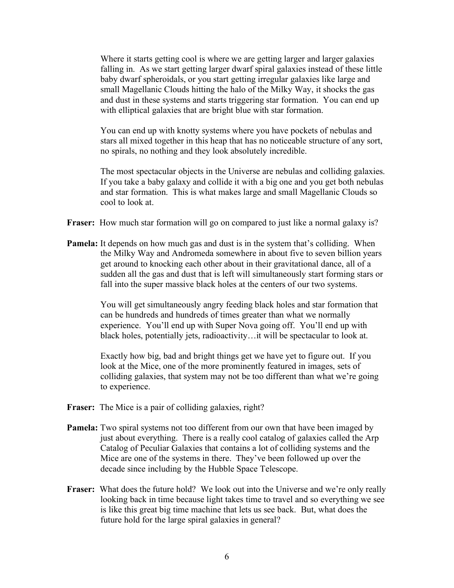Where it starts getting cool is where we are getting larger and larger galaxies falling in. As we start getting larger dwarf spiral galaxies instead of these little baby dwarf spheroidals, or you start getting irregular galaxies like large and small Magellanic Clouds hitting the halo of the Milky Way, it shocks the gas and dust in these systems and starts triggering star formation. You can end up with elliptical galaxies that are bright blue with star formation.

You can end up with knotty systems where you have pockets of nebulas and stars all mixed together in this heap that has no noticeable structure of any sort, no spirals, no nothing and they look absolutely incredible.

The most spectacular objects in the Universe are nebulas and colliding galaxies. If you take a baby galaxy and collide it with a big one and you get both nebulas and star formation. This is what makes large and small Magellanic Clouds so cool to look at.

- **Fraser:** How much star formation will go on compared to just like a normal galaxy is?
- **Pamela:** It depends on how much gas and dust is in the system that's colliding. When the Milky Way and Andromeda somewhere in about five to seven billion years get around to knocking each other about in their gravitational dance, all of a sudden all the gas and dust that is left will simultaneously start forming stars or fall into the super massive black holes at the centers of our two systems.

You will get simultaneously angry feeding black holes and star formation that can be hundreds and hundreds of times greater than what we normally experience. You'll end up with Super Nova going off. You'll end up with black holes, potentially jets, radioactivity…it will be spectacular to look at.

Exactly how big, bad and bright things get we have yet to figure out. If you look at the Mice, one of the more prominently featured in images, sets of colliding galaxies, that system may not be too different than what we're going to experience.

- **Fraser:** The Mice is a pair of colliding galaxies, right?
- **Pamela:** Two spiral systems not too different from our own that have been imaged by just about everything. There is a really cool catalog of galaxies called the Arp Catalog of Peculiar Galaxies that contains a lot of colliding systems and the Mice are one of the systems in there. They've been followed up over the decade since including by the Hubble Space Telescope.
- **Fraser:** What does the future hold? We look out into the Universe and we're only really looking back in time because light takes time to travel and so everything we see is like this great big time machine that lets us see back. But, what does the future hold for the large spiral galaxies in general?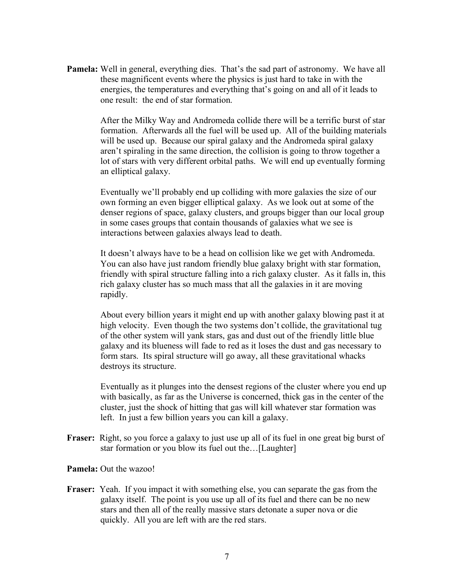**Pamela:** Well in general, everything dies. That's the sad part of astronomy. We have all these magnificent events where the physics is just hard to take in with the energies, the temperatures and everything that's going on and all of it leads to one result: the end of star formation.

> After the Milky Way and Andromeda collide there will be a terrific burst of star formation. Afterwards all the fuel will be used up. All of the building materials will be used up. Because our spiral galaxy and the Andromeda spiral galaxy aren't spiraling in the same direction, the collision is going to throw together a lot of stars with very different orbital paths. We will end up eventually forming an elliptical galaxy.

> Eventually we'll probably end up colliding with more galaxies the size of our own forming an even bigger elliptical galaxy. As we look out at some of the denser regions of space, galaxy clusters, and groups bigger than our local group in some cases groups that contain thousands of galaxies what we see is interactions between galaxies always lead to death.

> It doesn't always have to be a head on collision like we get with Andromeda. You can also have just random friendly blue galaxy bright with star formation, friendly with spiral structure falling into a rich galaxy cluster. As it falls in, this rich galaxy cluster has so much mass that all the galaxies in it are moving rapidly.

> About every billion years it might end up with another galaxy blowing past it at high velocity. Even though the two systems don't collide, the gravitational tug of the other system will yank stars, gas and dust out of the friendly little blue galaxy and its blueness will fade to red as it loses the dust and gas necessary to form stars. Its spiral structure will go away, all these gravitational whacks destroys its structure.

> Eventually as it plunges into the densest regions of the cluster where you end up with basically, as far as the Universe is concerned, thick gas in the center of the cluster, just the shock of hitting that gas will kill whatever star formation was left. In just a few billion years you can kill a galaxy.

**Fraser:** Right, so you force a galaxy to just use up all of its fuel in one great big burst of star formation or you blow its fuel out the…[Laughter]

**Pamela:** Out the wazoo!

**Fraser:** Yeah. If you impact it with something else, you can separate the gas from the galaxy itself. The point is you use up all of its fuel and there can be no new stars and then all of the really massive stars detonate a super nova or die quickly. All you are left with are the red stars.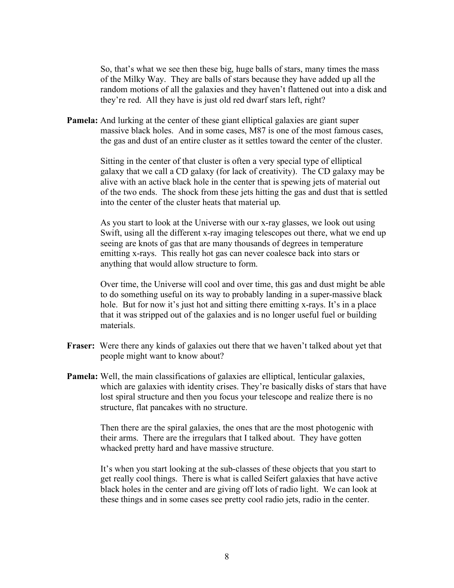So, that's what we see then these big, huge balls of stars, many times the mass of the Milky Way. They are balls of stars because they have added up all the random motions of all the galaxies and they haven't flattened out into a disk and they're red. All they have is just old red dwarf stars left, right?

**Pamela:** And lurking at the center of these giant elliptical galaxies are giant super massive black holes. And in some cases, M87 is one of the most famous cases, the gas and dust of an entire cluster as it settles toward the center of the cluster.

> Sitting in the center of that cluster is often a very special type of elliptical galaxy that we call a CD galaxy (for lack of creativity). The CD galaxy may be alive with an active black hole in the center that is spewing jets of material out of the two ends. The shock from these jets hitting the gas and dust that is settled into the center of the cluster heats that material up.

> As you start to look at the Universe with our x-ray glasses, we look out using Swift, using all the different x-ray imaging telescopes out there, what we end up seeing are knots of gas that are many thousands of degrees in temperature emitting x-rays. This really hot gas can never coalesce back into stars or anything that would allow structure to form.

> Over time, the Universe will cool and over time, this gas and dust might be able to do something useful on its way to probably landing in a super-massive black hole. But for now it's just hot and sitting there emitting x-rays. It's in a place that it was stripped out of the galaxies and is no longer useful fuel or building materials.

- **Fraser:** Were there any kinds of galaxies out there that we haven't talked about yet that people might want to know about?
- **Pamela:** Well, the main classifications of galaxies are elliptical, lenticular galaxies, which are galaxies with identity crises. They're basically disks of stars that have lost spiral structure and then you focus your telescope and realize there is no structure, flat pancakes with no structure.

Then there are the spiral galaxies, the ones that are the most photogenic with their arms. There are the irregulars that I talked about. They have gotten whacked pretty hard and have massive structure.

It's when you start looking at the sub-classes of these objects that you start to get really cool things. There is what is called Seifert galaxies that have active black holes in the center and are giving off lots of radio light. We can look at these things and in some cases see pretty cool radio jets, radio in the center.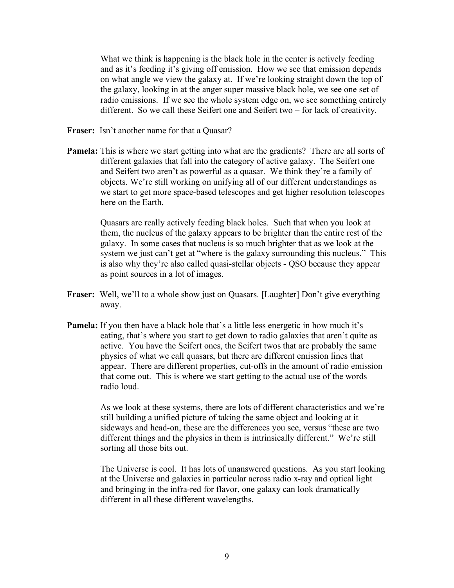What we think is happening is the black hole in the center is actively feeding and as it's feeding it's giving off emission. How we see that emission depends on what angle we view the galaxy at. If we're looking straight down the top of the galaxy, looking in at the anger super massive black hole, we see one set of radio emissions. If we see the whole system edge on, we see something entirely different. So we call these Seifert one and Seifert two – for lack of creativity.

- **Fraser:** Isn't another name for that a Quasar?
- **Pamela:** This is where we start getting into what are the gradients? There are all sorts of different galaxies that fall into the category of active galaxy. The Seifert one and Seifert two aren't as powerful as a quasar. We think they're a family of objects. We're still working on unifying all of our different understandings as we start to get more space-based telescopes and get higher resolution telescopes here on the Earth.

Quasars are really actively feeding black holes. Such that when you look at them, the nucleus of the galaxy appears to be brighter than the entire rest of the galaxy. In some cases that nucleus is so much brighter that as we look at the system we just can't get at "where is the galaxy surrounding this nucleus." This is also why they're also called quasi-stellar objects - QSO because they appear as point sources in a lot of images.

- **Fraser:** Well, we'll to a whole show just on Quasars. [Laughter] Don't give everything away.
- **Pamela:** If you then have a black hole that's a little less energetic in how much it's eating, that's where you start to get down to radio galaxies that aren't quite as active. You have the Seifert ones, the Seifert twos that are probably the same physics of what we call quasars, but there are different emission lines that appear. There are different properties, cut-offs in the amount of radio emission that come out. This is where we start getting to the actual use of the words radio loud.

As we look at these systems, there are lots of different characteristics and we're still building a unified picture of taking the same object and looking at it sideways and head-on, these are the differences you see, versus "these are two different things and the physics in them is intrinsically different." We're still sorting all those bits out.

The Universe is cool. It has lots of unanswered questions. As you start looking at the Universe and galaxies in particular across radio x-ray and optical light and bringing in the infra-red for flavor, one galaxy can look dramatically different in all these different wavelengths.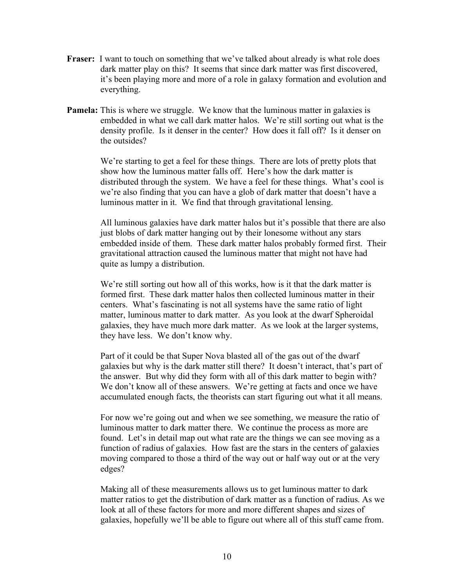- **Fraser:** I want to touch on something that we've talked about already is what role does dark matter play on this? It seems that since dark matter was first discovered, it's been playing more and more of a role in galaxy formation and evolution and everything.
- **Pamela:** This is where we struggle. We know that the luminous matter in galaxies is embedded in what we call dark matter halos. We're still sorting out what is the density profile. Is it denser in the center? How does it fall off? Is it denser on the outsides?

We're starting to get a feel for these things. There are lots of pretty plots that show how the luminous matter falls off. Here's how the dark matter is distributed through the system. We have a feel for these things. What's cool is we're also finding that you can have a glob of dark matter that doesn't have a luminous matter in it. We find that through gravitational lensing.

All luminous galaxies have dark matter halos but it's possible that there are also just blobs of dark matter hanging out by their lonesome without any stars embedded inside of them. These dark matter halos probably formed first. Their gravitational attraction caused the luminous matter that might not have had quite as lumpy a distribution.

We're still sorting out how all of this works, how is it that the dark matter is formed first. These dark matter halos then collected luminous matter in their centers. What's fascinating is not all systems have the same ratio of light matter, luminous matter to dark matter. As you look at the dwarf Spheroidal galaxies, they have much more dark matter. As we look at the larger systems, they have less. We don't know why.

Part of it could be that Super Nova blasted all of the gas out of the dwarf galaxies but why is the dark matter still there? It doesn't interact, that's part of the answer. But why did they form with all of this dark matter to begin with? We don't know all of these answers. We're getting at facts and once we have accumulated enough facts, the theorists can start figuring out what it all means.

For now we're going out and when we see something, we measure the ratio of luminous matter to dark matter there. We continue the process as more are found. Let's in detail map out what rate are the things we can see moving as a function of radius of galaxies. How fast are the stars in the centers of galaxies moving compared to those a third of the way out or half way out or at the very edges?

Making all of these measurements allows us to get luminous matter to dark matter ratios to get the distribution of dark matter as a function of radius. As we look at all of these factors for more and more different shapes and sizes of galaxies, hopefully we'll be able to figure out where all of this stuff came from.